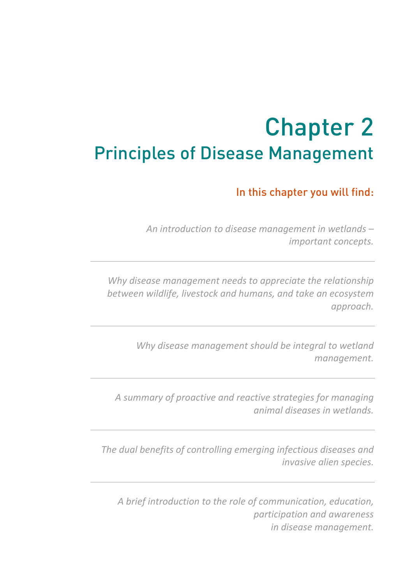# **<sup>2</sup>** Chapter 2 Principles of Disease Management

In this chapter you will find:

*An introduction to disease management in wetlands – important concepts.* 

*Why disease management needs to appreciate the relationship between wildlife, livestock and humans, and take an ecosystem approach.* 

> *Why disease management should be integral to wetland management.*

*A summary of proactive and reactive strategies for managing animal diseases in wetlands.* 

*The dual benefits of controlling emerging infectious diseases and invasive alien species.* 

*A brief introduction to the role of communication, education, participation and awareness in disease management.*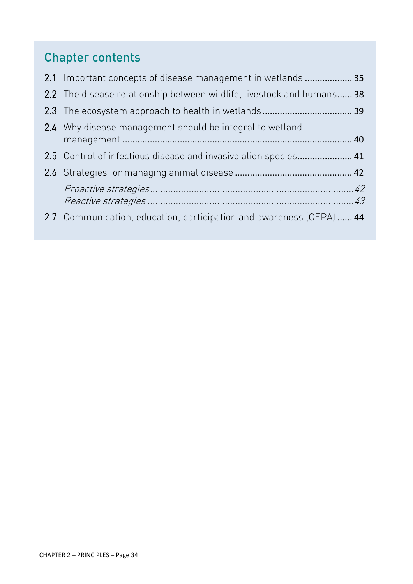# Chapter contents

| 2.1 Important concepts of disease management in wetlands  35           |  |
|------------------------------------------------------------------------|--|
| 2.2 The disease relationship between wildlife, livestock and humans 38 |  |
|                                                                        |  |
| 2.4 Why disease management should be integral to wetland               |  |
| 2.5 Control of infectious disease and invasive alien species 41        |  |
|                                                                        |  |
|                                                                        |  |
| 2.7 Communication, education, participation and awareness (CEPA)  44   |  |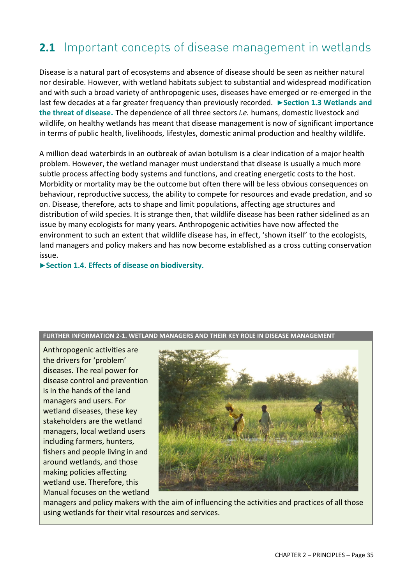# **2.1** Important concepts of disease management in wetlands

Disease is a natural part of ecosystems and absence of disease should be seen as neither natural nor desirable. However, with wetland habitats subject to substantial and widespread modification and with such a broad variety of anthropogenic uses, diseases have emerged or re-emerged in the last few decades at a far greater frequency than previously recorded. **►Section 1.3 Wetlands and the threat of disease.** The dependence of all three sectors *i.e.* humans, domestic livestock and wildlife, on healthy wetlands has meant that disease management is now of significant importance in terms of public health, livelihoods, lifestyles, domestic animal production and healthy wildlife.

A million dead waterbirds in an outbreak of avian botulism is a clear indication of a major health problem. However, the wetland manager must understand that disease is usually a much more subtle process affecting body systems and functions, and creating energetic costs to the host. Morbidity or mortality may be the outcome but often there will be less obvious consequences on behaviour, reproductive success, the ability to compete for resources and evade predation, and so on. Disease, therefore, acts to shape and limit populations, affecting age structures and distribution of wild species. It is strange then, that wildlife disease has been rather sidelined as an issue by many ecologists for many years. Anthropogenic activities have now affected the environment to such an extent that wildlife disease has, in effect, 'shown itself' to the ecologists, land managers and policy makers and has now become established as a cross cutting conservation issue.

**►Section 1.4. Effects of disease on biodiversity.** 

#### **FURTHER INFORMATION 2-1. WETLAND MANAGERS AND THEIR KEY ROLE IN DISEASE MANAGEMENT**

Anthropogenic activities are the drivers for 'problem' diseases. The real power for disease control and prevention is in the hands of the land managers and users. For wetland diseases, these key stakeholders are the wetland managers, local wetland users including farmers, hunters, fishers and people living in and around wetlands, and those making policies affecting wetland use. Therefore, this Manual focuses on the wetland



managers and policy makers with the aim of influencing the activities and practices of all those using wetlands for their vital resources and services.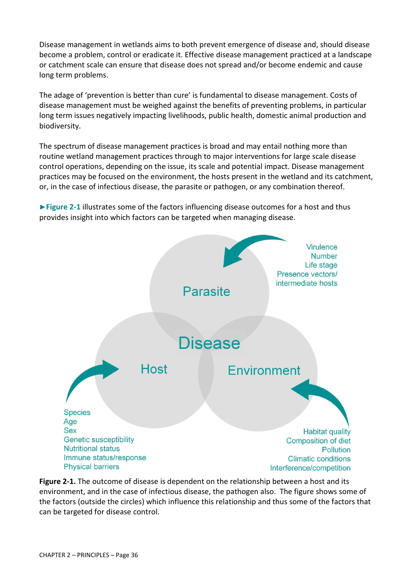Disease management in wetlands aims to both prevent emergence of disease and, should disease become a problem, control or eradicate it. Effective disease management practiced at a landscape or catchment scale can ensure that disease does not spread and/or become endemic and cause long term problems.

The adage of 'prevention is better than cure' is fundamental to disease management. Costs of disease management must be weighed against the benefits of preventing problems, in particular long term issues negatively impacting livelihoods, public health, domestic animal production and biodiversity.

The spectrum of disease management practices is broad and may entail nothing more than routine wetland management practices through to major interventions for large scale disease control operations, depending on the issue, its scale and potential impact. Disease management practices may be focused on the environment, the hosts present in the wetland and its catchment, or, in the case of infectious disease, the parasite or pathogen, or any combination thereof.

**►Figure 2-1** illustrates some of the factors influencing disease outcomes for a host and thus provides insight into which factors can be targeted when managing disease.



**Figure 2-1.** The outcome of disease is dependent on the relationship between a host and its environment, and in the case of infectious disease, the pathogen also. The figure shows some of the factors (outside the circles) which influence this relationship and thus some of the factors that can be targeted for disease control.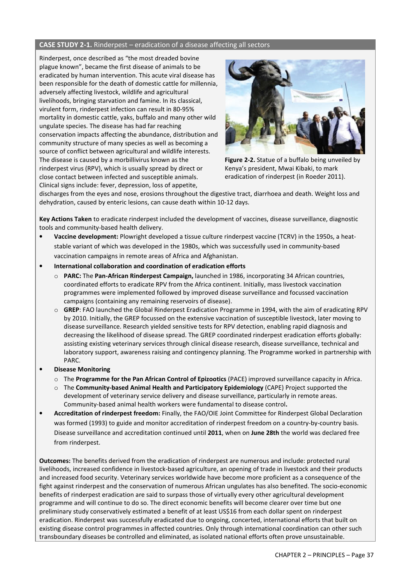### **CASE STUDY 2-1.** Rinderpest – eradication of a disease affecting all sectors

Rinderpest, once described as "the most dreaded bovine plague known", became the first disease of animals to be eradicated by human intervention. This acute viral disease has been responsible for the death of domestic cattle for millennia, adversely affecting livestock, wildlife and agricultural livelihoods, bringing starvation and famine. In its classical, virulent form, rinderpest infection can result in 80-95% mortality in domestic cattle, yaks, buffalo and many other wild ungulate species. The disease has had far reaching conservation impacts affecting the abundance, distribution and community structure of many species as well as becoming a source of conflict between agricultural and wildlife interests. The disease is caused by a morbillivirus known as the rinderpest virus (RPV), which is usually spread by direct or close contact between infected and susceptible animals. Clinical signs include: fever, depression, loss of appetite,



**Figure 2-2.** Statue of a buffalo being unveiled by Kenya's president, Mwai Kibaki, to mark eradication of rinderpest (in Roeder 2011).

discharges from the eyes and nose, erosions throughout the digestive tract, diarrhoea and death. Weight loss and dehydration, caused by enteric lesions, can cause death within 10-12 days.

**Key Actions Taken** to eradicate rinderpest included the development of vaccines, disease surveillance, diagnostic tools and community-based health delivery.

- **Vaccine development:** Plowright developed a tissue culture rinderpest vaccine (TCRV) in the 1950s, a heatstable variant of which was developed in the 1980s, which was successfully used in community-based vaccination campaigns in remote areas of Africa and Afghanistan.
- **International collaboration and coordination of eradication efforts** 
	- o **PARC:** The **Pan-African Rinderpest Campaign,** launched in 1986, incorporating 34 African countries, coordinated efforts to eradicate RPV from the Africa continent. Initially, mass livestock vaccination programmes were implemented followed by improved disease surveillance and focussed vaccination campaigns (containing any remaining reservoirs of disease).
	- o **GREP**: FAO launched the Global Rinderpest Eradication Programme in 1994, with the aim of eradicating RPV by 2010. Initially, the GREP focussed on the extensive vaccination of susceptible livestock, later moving to disease surveillance. Research yielded sensitive tests for RPV detection, enabling rapid diagnosis and decreasing the likelihood of disease spread. The GREP coordinated rinderpest eradication efforts globally: assisting existing veterinary services through clinical disease research, disease surveillance, technical and laboratory support, awareness raising and contingency planning. The Programme worked in partnership with PARC.
- **Disease Monitoring** 
	- o The **Programme for the Pan African Control of Epizootics** (PACE) improved surveillance capacity in Africa.
	- o The **Community-based Animal Health and Participatory Epidemiology** (CAPE) Project supported the development of veterinary service delivery and disease surveillance, particularly in remote areas. Community-based animal health workers were fundamental to disease control**.**
- **Accreditation of rinderpest freedom:** Finally, the FAO/OIE Joint Committee for Rinderpest Global Declaration was formed (1993) to guide and monitor accreditation of rinderpest freedom on a country-by-country basis. Disease surveillance and accreditation continued until **2011**, when on **June 28th** the world was declared free from rinderpest.

**Outcomes:** The benefits derived from the eradication of rinderpest are numerous and include: protected rural livelihoods, increased confidence in livestock-based agriculture, an opening of trade in livestock and their products and increased food security. Veterinary services worldwide have become more proficient as a consequence of the fight against rinderpest and the conservation of numerous African ungulates has also benefited. The socio-economic benefits of rinderpest eradication are said to surpass those of virtually every other agricultural development programme and will continue to do so. The direct economic benefits will become clearer over time but one preliminary study conservatively estimated a benefit of at least US\$16 from each dollar spent on rinderpest eradication. Rinderpest was successfully eradicated due to ongoing, concerted, international efforts that built on existing disease control programmes in affected countries. Only through international coordination can other such transboundary diseases be controlled and eliminated, as isolated national efforts often prove unsustainable.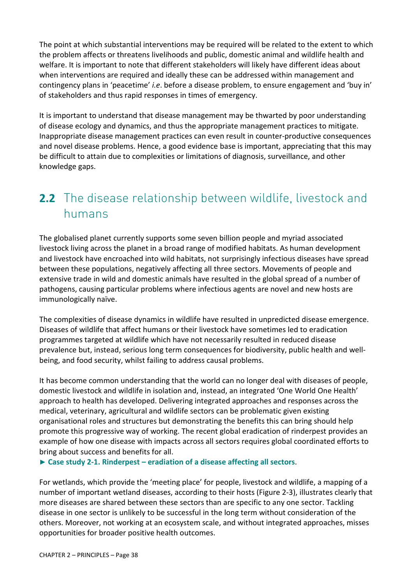The point at which substantial interventions may be required will be related to the extent to which the problem affects or threatens livelihoods and public, domestic animal and wildlife health and welfare. It is important to note that different stakeholders will likely have different ideas about when interventions are required and ideally these can be addressed within management and contingency plans in 'peacetime' *i.e*. before a disease problem, to ensure engagement and 'buy in' of stakeholders and thus rapid responses in times of emergency.

It is important to understand that disease management may be thwarted by poor understanding of disease ecology and dynamics, and thus the appropriate management practices to mitigate. Inappropriate disease management practices can even result in counter-productive consequences and novel disease problems. Hence, a good evidence base is important, appreciating that this may be difficult to attain due to complexities or limitations of diagnosis, surveillance, and other knowledge gaps.

# **2.2** The disease relationship between wildlife, livestock and humans

The globalised planet currently supports some seven billion people and myriad associated livestock living across the planet in a broad range of modified habitats. As human development and livestock have encroached into wild habitats, not surprisingly infectious diseases have spread between these populations, negatively affecting all three sectors. Movements of people and extensive trade in wild and domestic animals have resulted in the global spread of a number of pathogens, causing particular problems where infectious agents are novel and new hosts are immunologically naïve.

The complexities of disease dynamics in wildlife have resulted in unpredicted disease emergence. Diseases of wildlife that affect humans or their livestock have sometimes led to eradication programmes targeted at wildlife which have not necessarily resulted in reduced disease prevalence but, instead, serious long term consequences for biodiversity, public health and wellbeing, and food security, whilst failing to address causal problems.

It has become common understanding that the world can no longer deal with diseases of people, domestic livestock and wildlife in isolation and, instead, an integrated 'One World One Health' approach to health has developed. Delivering integrated approaches and responses across the medical, veterinary, agricultural and wildlife sectors can be problematic given existing organisational roles and structures but demonstrating the benefits this can bring should help promote this progressive way of working. The recent global eradication of rinderpest provides an example of how one disease with impacts across all sectors requires global coordinated efforts to bring about success and benefits for all.

**► Case study 2-1. Rinderpest – eradiation of a disease affecting all sectors**.

For wetlands, which provide the 'meeting place' for people, livestock and wildlife, a mapping of a number of important wetland diseases, according to their hosts (Figure 2-3), illustrates clearly that more diseases are shared between these sectors than are specific to any one sector. Tackling disease in one sector is unlikely to be successful in the long term without consideration of the others. Moreover, not working at an ecosystem scale, and without integrated approaches, misses opportunities for broader positive health outcomes.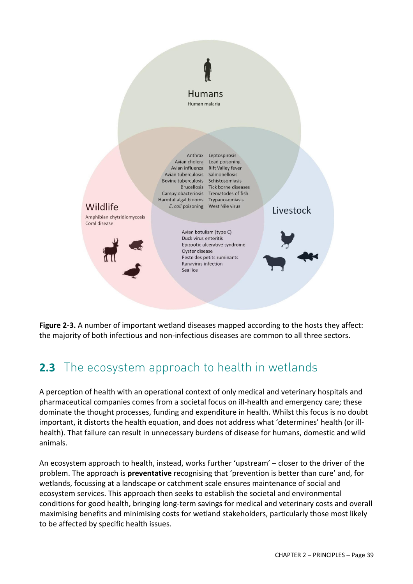



## **2.3** The ecosystem approach to health in wetlands

A perception of health with an operational context of only medical and veterinary hospitals and pharmaceutical companies comes from a societal focus on ill-health and emergency care; these dominate the thought processes, funding and expenditure in health. Whilst this focus is no doubt important, it distorts the health equation, and does not address what 'determines' health (or illhealth). That failure can result in unnecessary burdens of disease for humans, domestic and wild animals.

An ecosystem approach to health, instead, works further 'upstream' – closer to the driver of the problem. The approach is **preventative** recognising that 'prevention is better than cure' and, for wetlands, focussing at a landscape or catchment scale ensures maintenance of social and ecosystem services. This approach then seeks to establish the societal and environmental conditions for good health, bringing long-term savings for medical and veterinary costs and overall maximising benefits and minimising costs for wetland stakeholders, particularly those most likely to be affected by specific health issues.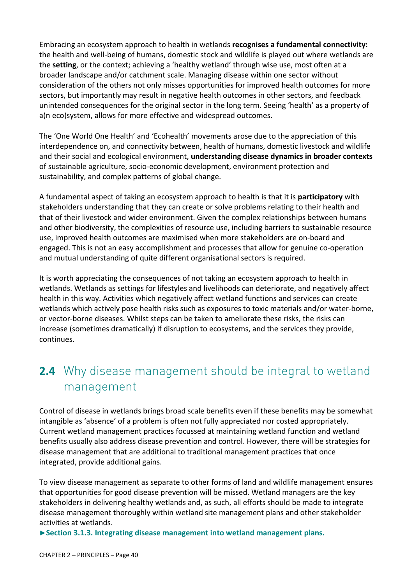Embracing an ecosystem approach to health in wetlands **recognises a fundamental connectivity:** the health and well-being of humans, domestic stock and wildlife is played out where wetlands are the **setting**, or the context; achieving a 'healthy wetland' through wise use, most often at a broader landscape and/or catchment scale. Managing disease within one sector without consideration of the others not only misses opportunities for improved health outcomes for more sectors, but importantly may result in negative health outcomes in other sectors, and feedback unintended consequences for the original sector in the long term. Seeing 'health' as a property of a(n eco)system, allows for more effective and widespread outcomes.

The 'One World One Health' and 'Ecohealth' movements arose due to the appreciation of this interdependence on, and connectivity between, health of humans, domestic livestock and wildlife and their social and ecological environment, **understanding disease dynamics in broader contexts** of sustainable agriculture, socio-economic development, environment protection and sustainability, and complex patterns of global change.

A fundamental aspect of taking an ecosystem approach to health is that it is **participatory** with stakeholders understanding that they can create or solve problems relating to their health and that of their livestock and wider environment. Given the complex relationships between humans and other biodiversity, the complexities of resource use, including barriers to sustainable resource use, improved health outcomes are maximised when more stakeholders are on-board and engaged. This is not an easy accomplishment and processes that allow for genuine co-operation and mutual understanding of quite different organisational sectors is required.

It is worth appreciating the consequences of not taking an ecosystem approach to health in wetlands. Wetlands as settings for lifestyles and livelihoods can deteriorate, and negatively affect health in this way. Activities which negatively affect wetland functions and services can create wetlands which actively pose health risks such as exposures to toxic materials and/or water-borne, or vector-borne diseases. Whilst steps can be taken to ameliorate these risks, the risks can increase (sometimes dramatically) if disruption to ecosystems, and the services they provide, continues.

# **2.4** Why disease management should be integral to wetland management

Control of disease in wetlands brings broad scale benefits even if these benefits may be somewhat intangible as 'absence' of a problem is often not fully appreciated nor costed appropriately. Current wetland management practices focussed at maintaining wetland function and wetland benefits usually also address disease prevention and control. However, there will be strategies for disease management that are additional to traditional management practices that once integrated, provide additional gains.

To view disease management as separate to other forms of land and wildlife management ensures that opportunities for good disease prevention will be missed. Wetland managers are the key stakeholders in delivering healthy wetlands and, as such, all efforts should be made to integrate disease management thoroughly within wetland site management plans and other stakeholder activities at wetlands.

**►Section 3.1.3. Integrating disease management into wetland management plans.**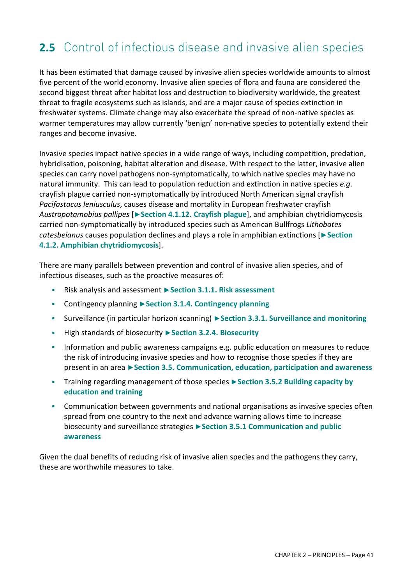# **2.5** Control of infectious disease and invasive alien species

It has been estimated that damage caused by invasive alien species worldwide amounts to almost five percent of the world economy. Invasive alien species of flora and fauna are considered the second biggest threat after habitat loss and destruction to biodiversity worldwide, the greatest threat to fragile ecosystems such as islands, and are a major cause of species extinction in freshwater systems. Climate change may also exacerbate the spread of non-native species as warmer temperatures may allow currently 'benign' non-native species to potentially extend their ranges and become invasive.

Invasive species impact native species in a wide range of ways, including competition, predation, hybridisation, poisoning, habitat alteration and disease. With respect to the latter, invasive alien species can carry novel pathogens non-symptomatically, to which native species may have no natural immunity. This can lead to population reduction and extinction in native species *e.g*. crayfish plague carried non-symptomatically by introduced North American signal crayfish *Pacifastacus leniusculus*, causes disease and mortality in European freshwater crayfish *Austropotamobius pallipes* [**►Section 4.1.12. Crayfish plague**], and amphibian chytridiomycosis carried non-symptomatically by introduced species such as American Bullfrogs *Lithobates catesbeianus* causes population declines and plays a role in amphibian extinctions [**►Section 4.1.2. Amphibian chytridiomycosis**].

There are many parallels between prevention and control of invasive alien species, and of infectious diseases, such as the proactive measures of:

- Risk analysis and assessment **►Section 3.1.1. Risk assessment**
- Contingency planning **►Section 3.1.4. Contingency planning**
- Surveillance (in particular horizon scanning) **►Section 3.3.1. Surveillance and monitoring**
- High standards of biosecurity **►Section 3.2.4. Biosecurity**
- **Information and public awareness campaigns e.g. public education on measures to reduce** the risk of introducing invasive species and how to recognise those species if they are present in an area **►Section 3.5. Communication, education, participation and awareness**
- Training regarding management of those species **►Section 3.5.2 Building capacity by education and training**
- Communication between governments and national organisations as invasive species often spread from one country to the next and advance warning allows time to increase biosecurity and surveillance strategies **►Section 3.5.1 Communication and public awareness**

Given the dual benefits of reducing risk of invasive alien species and the pathogens they carry, these are worthwhile measures to take.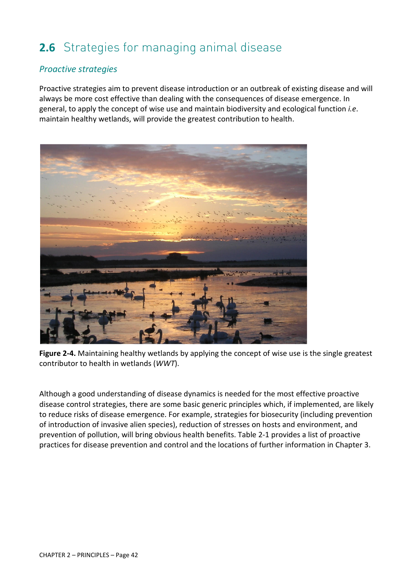# **2.6** Strategies for managing animal disease

### *Proactive strategies*

Proactive strategies aim to prevent disease introduction or an outbreak of existing disease and will always be more cost effective than dealing with the consequences of disease emergence. In general, to apply the concept of wise use and maintain biodiversity and ecological function *i.e*. maintain healthy wetlands, will provide the greatest contribution to health.



**Figure 2-4.** Maintaining healthy wetlands by applying the concept of wise use is the single greatest contributor to health in wetlands (*WWT*).

Although a good understanding of disease dynamics is needed for the most effective proactive disease control strategies, there are some basic generic principles which, if implemented, are likely to reduce risks of disease emergence. For example, strategies for biosecurity (including prevention of introduction of invasive alien species), reduction of stresses on hosts and environment, and prevention of pollution, will bring obvious health benefits. Table 2-1 provides a list of proactive practices for disease prevention and control and the locations of further information in Chapter 3.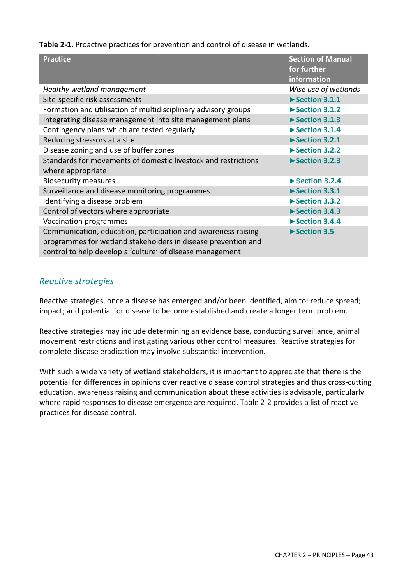**Table 2-1.** Proactive practices for prevention and control of disease in wetlands.

| <b>Practice</b>                                                                                                                                                                             | <b>Section of Manual</b><br>for further<br>information |
|---------------------------------------------------------------------------------------------------------------------------------------------------------------------------------------------|--------------------------------------------------------|
| Healthy wetland management                                                                                                                                                                  | Wise use of wetlands                                   |
| Site-specific risk assessments                                                                                                                                                              | $\blacktriangleright$ Section 3.1.1                    |
| Formation and utilisation of multidisciplinary advisory groups                                                                                                                              | $\blacktriangleright$ Section 3.1.2                    |
| Integrating disease management into site management plans                                                                                                                                   | $\blacktriangleright$ Section 3.1.3                    |
| Contingency plans which are tested regularly                                                                                                                                                | $\blacktriangleright$ Section 3.1.4                    |
| Reducing stressors at a site                                                                                                                                                                | Section 3.2.1                                          |
| Disease zoning and use of buffer zones                                                                                                                                                      | Section 3.2.2                                          |
| Standards for movements of domestic livestock and restrictions<br>where appropriate                                                                                                         | Section 3.2.3                                          |
| <b>Biosecurity measures</b>                                                                                                                                                                 | $\triangleright$ Section 3.2.4                         |
| Surveillance and disease monitoring programmes                                                                                                                                              | Section 3.3.1                                          |
| Identifying a disease problem                                                                                                                                                               | Section 3.3.2                                          |
| Control of vectors where appropriate                                                                                                                                                        | Section 3.4.3                                          |
| Vaccination programmes                                                                                                                                                                      | $\blacktriangleright$ Section 3.4.4                    |
| Communication, education, participation and awareness raising<br>programmes for wetland stakeholders in disease prevention and<br>control to help develop a 'culture' of disease management | Section 3.5                                            |

### *Reactive strategies*

Reactive strategies, once a disease has emerged and/or been identified, aim to: reduce spread; impact; and potential for disease to become established and create a longer term problem.

Reactive strategies may include determining an evidence base, conducting surveillance, animal movement restrictions and instigating various other control measures. Reactive strategies for complete disease eradication may involve substantial intervention.

With such a wide variety of wetland stakeholders, it is important to appreciate that there is the potential for differences in opinions over reactive disease control strategies and thus cross-cutting education, awareness raising and communication about these activities is advisable, particularly where rapid responses to disease emergence are required. Table 2-2 provides a list of reactive practices for disease control.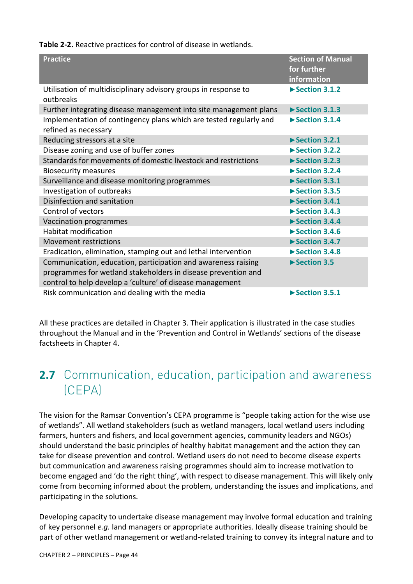**Table 2-2.** Reactive practices for control of disease in wetlands.

| <b>Practice</b>                                                                                                                                                                             | <b>Section of Manual</b><br>for further<br>information |
|---------------------------------------------------------------------------------------------------------------------------------------------------------------------------------------------|--------------------------------------------------------|
| Utilisation of multidisciplinary advisory groups in response to<br>outbreaks                                                                                                                | $\blacktriangleright$ Section 3.1.2                    |
| Further integrating disease management into site management plans                                                                                                                           | $\blacktriangleright$ Section 3.1.3                    |
| Implementation of contingency plans which are tested regularly and<br>refined as necessary                                                                                                  | $\blacktriangleright$ Section 3.1.4                    |
| Reducing stressors at a site                                                                                                                                                                | $\blacktriangleright$ Section 3.2.1                    |
| Disease zoning and use of buffer zones                                                                                                                                                      | $\triangleright$ Section 3.2.2                         |
| Standards for movements of domestic livestock and restrictions                                                                                                                              | Section 3.2.3                                          |
| <b>Biosecurity measures</b>                                                                                                                                                                 | $\blacktriangleright$ Section 3.2.4                    |
| Surveillance and disease monitoring programmes                                                                                                                                              | $\blacktriangleright$ Section 3.3.1                    |
| Investigation of outbreaks                                                                                                                                                                  | $\triangleright$ Section 3.3.5                         |
| Disinfection and sanitation                                                                                                                                                                 | Section 3.4.1                                          |
| Control of vectors                                                                                                                                                                          | $\blacktriangleright$ Section 3.4.3                    |
| Vaccination programmes                                                                                                                                                                      | Section 3.4.4                                          |
| <b>Habitat modification</b>                                                                                                                                                                 | $\triangleright$ Section 3.4.6                         |
| <b>Movement restrictions</b>                                                                                                                                                                | Section 3.4.7                                          |
| Eradication, elimination, stamping out and lethal intervention                                                                                                                              | Section 3.4.8                                          |
| Communication, education, participation and awareness raising<br>programmes for wetland stakeholders in disease prevention and<br>control to help develop a 'culture' of disease management | Section 3.5                                            |
| Risk communication and dealing with the media                                                                                                                                               | $\blacktriangleright$ Section 3.5.1                    |

All these practices are detailed in Chapter 3. Their application is illustrated in the case studies throughout the Manual and in the 'Prevention and Control in Wetlands' sections of the disease factsheets in Chapter 4.

# **2.7** Communication, education, participation and awareness (CEPA)

The vision for the Ramsar Convention's CEPA programme is "people taking action for the wise use of wetlands". All wetland stakeholders (such as wetland managers, local wetland users including farmers, hunters and fishers, and local government agencies, community leaders and NGOs) should understand the basic principles of healthy habitat management and the action they can take for disease prevention and control. Wetland users do not need to become disease experts but communication and awareness raising programmes should aim to increase motivation to become engaged and 'do the right thing', with respect to disease management. This will likely only come from becoming informed about the problem, understanding the issues and implications, and participating in the solutions.

Developing capacity to undertake disease management may involve formal education and training of key personnel *e.g.* land managers or appropriate authorities. Ideally disease training should be part of other wetland management or wetland-related training to convey its integral nature and to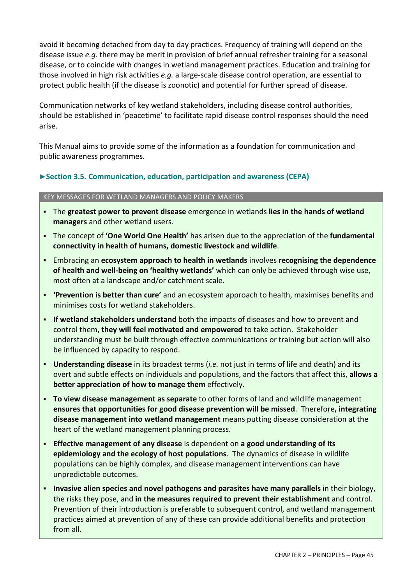avoid it becoming detached from day to day practices. Frequency of training will depend on the disease issue *e.g.* there may be merit in provision of brief annual refresher training for a seasonal disease, or to coincide with changes in wetland management practices. Education and training for those involved in high risk activities *e.g.* a large-scale disease control operation, are essential to protect public health (if the disease is zoonotic) and potential for further spread of disease.

Communication networks of key wetland stakeholders, including disease control authorities, should be established in 'peacetime' to facilitate rapid disease control responses should the need arise.

This Manual aims to provide some of the information as a foundation for communication and public awareness programmes.

### **►Section 3.5. Communication, education, participation and awareness (CEPA)**

### KEY MESSAGES FOR WETLAND MANAGERS AND POLICY MAKERS

- The **greatest power to prevent disease** emergence in wetlands **lies in the hands of wetland managers** and other wetland users.
- The concept of **'One World One Health'** has arisen due to the appreciation of the **fundamental connectivity in health of humans, domestic livestock and wildlife**.
- Embracing an **ecosystem approach to health in wetlands** involves **recognising the dependence of health and well-being on 'healthy wetlands'** which can only be achieved through wise use, most often at a landscape and/or catchment scale.
- **'Prevention is better than cure'** and an ecosystem approach to health, maximises benefits and minimises costs for wetland stakeholders.
- **If wetland stakeholders understand** both the impacts of diseases and how to prevent and control them, **they will feel motivated and empowered** to take action. Stakeholder understanding must be built through effective communications or training but action will also be influenced by capacity to respond.
- **Understanding disease** in its broadest terms (*i.e.* not just in terms of life and death) and its overt and subtle effects on individuals and populations, and the factors that affect this, **allows a better appreciation of how to manage them** effectively.
- **To view disease management as separate** to other forms of land and wildlife management **ensures that opportunities for good disease prevention will be missed**. Therefore**, integrating disease management into wetland management** means putting disease consideration at the heart of the wetland management planning process.
- **Effective management of any disease** is dependent on **a good understanding of its epidemiology and the ecology of host populations**. The dynamics of disease in wildlife populations can be highly complex, and disease management interventions can have unpredictable outcomes.
- **Invasive alien species and novel pathogens and parasites have many parallels** in their biology, the risks they pose, and **in the measures required to prevent their establishment** and control. Prevention of their introduction is preferable to subsequent control, and wetland management practices aimed at prevention of any of these can provide additional benefits and protection from all.